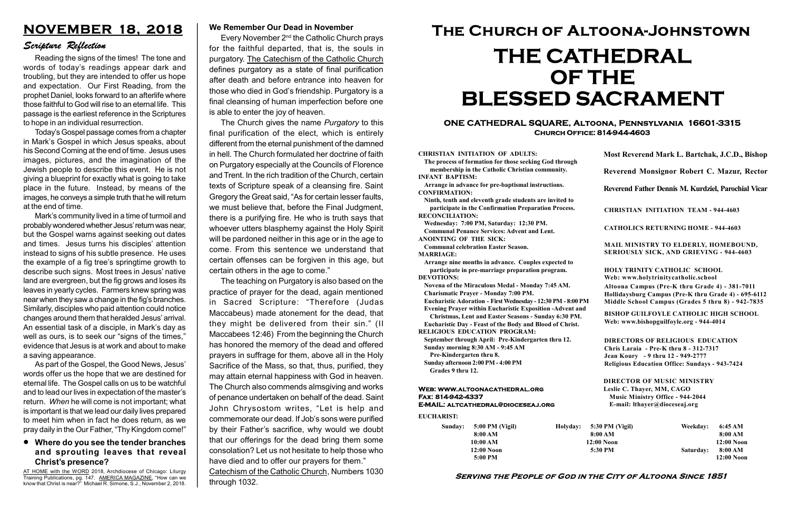#### Serving the People of God in the City of Altoona Since 1851

Sunday: 5:00 PM (Vigil) 8:00 AM 10:00 AM 12:00 Noon 5:00 PM

Holyday:

#### Web: www.altoonacathedral.org Fax: 814-942-4337 E-MAIL: altcathedral@dioceseaj.org

EUCHARIST:

#### CHRISTIAN INITIATION OF ADULTS:

The process of formation for those seeking God through membership in the Catholic Christian community. INFANT BAPTISM:

Arrange in advance for pre-baptismal instructions. CONFIRMATION:

Ninth, tenth and eleventh grade students are invited to participate in the Confirmation Preparation Process. RECONCILIATION:

Wednesday: 7:00 PM, Saturday: 12:30 PM. Communal Penance Services: Advent and Lent. ANOINTING OF THE SICK:

Communal celebration Easter Season. MARRIAGE:

Arrange nine months in advance. Couples expected to participate in pre-marriage preparation program. DEVOTIONS:

Novena of the Miraculous Medal - Monday 7:45 AM. Charismatic Prayer - Monday 7:00 PM.

Eucharistic Adoration - First Wednesday - 12:30 PM - 8:00 PM

Evening Prayer within Eucharistic Exposition -Advent and

Christmas, Lent and Easter Seasons - Sunday 6:30 PM. Eucharistic Day - Feast of the Body and Blood of Christ.

|                         | Most Reverend Mark L. Bartchak, J.C.D., Bishop<br>Reverend Monsignor Robert C. Mazur, Rector                                                                                    |           |                         |
|-------------------------|---------------------------------------------------------------------------------------------------------------------------------------------------------------------------------|-----------|-------------------------|
|                         |                                                                                                                                                                                 |           |                         |
|                         | Reverend Father Dennis M. Kurdziel, Parochial Vicar                                                                                                                             |           |                         |
|                         | <b>CHRISTIAN INITIATION TEAM - 944-4603</b>                                                                                                                                     |           |                         |
|                         | <b>CATHOLICS RETURNING HOME - 944-4603</b>                                                                                                                                      |           |                         |
|                         | MAIL MINISTRY TO ELDERLY, HOMEBOUND,<br><b>SERIOUSLY SICK, AND GRIEVING - 944-4603</b>                                                                                          |           |                         |
|                         | <b>HOLY TRINITY CATHOLIC SCHOOL</b><br>Web: www.holytrinitycatholic.school                                                                                                      |           |                         |
| М                       | Altoona Campus (Pre-K thru Grade 4) - 381-7011<br>Hollidaysburg Campus (Pre-K thru Grade 4) - 695-6112<br>Middle School Campus (Grades 5 thru 8) - 942-7835                     |           |                         |
| ł                       | <b>BISHOP GUILFOYLE CATHOLIC HIGH SCHOOL</b><br>Web: www.bishopguilfoyle.org - 944-4014                                                                                         |           |                         |
|                         | <b>DIRECTORS OF RELIGIOUS EDUCATION</b><br>Chris Laraia - Pre-K thru 8 - 312-7317<br>Jean Koury - 9 thru 12 - 949-2777<br><b>Religious Education Office: Sundays - 943-7424</b> |           |                         |
|                         | <b>DIRECTOR OF MUSIC MINISTRY</b><br>Leslie C. Thayer, MM, CAGO<br><b>Music Ministry Office - 944-2044</b><br>E-mail: lthayer@dioceseaj.org                                     |           |                         |
| 5:30 PM (Vigil)         |                                                                                                                                                                                 | Weekday:  | 6:45 AM                 |
| 8:00 AM<br>$12:00$ Noon |                                                                                                                                                                                 |           | 8:00 AM<br>12:00 Noon   |
|                         | 5:30 PM                                                                                                                                                                         | Saturday: | 8:00 AM<br>$12:00$ Noon |
|                         |                                                                                                                                                                                 |           |                         |

RELIGIOUS EDUCATION PROGRAM:

September through April: Pre-Kindergarten thru 12. Sunday morning 8:30 AM - 9:45 AM

Pre-Kindergarten thru 8.

Sunday afternoon 2:00 PM - 4:00 PM Grades 9 thru 12.

#### ONE CATHEDRAL SQUARE, Altoona, Pennsylvania 16601-3315 Church Office: 814-944-4603

AT HOME with the WORD 2018, Archdiocese of Chicago: Liturgy Training Publications, pg. 147. AMERICA MAGAZINE, "How can we know that Christ is near?" Michael R. Simone, S.J., November 2, 2018.

# The Church of Altoona-Johnstown THE CATHEDRAL OF THE BLESSED SACRAMENT

#### Where do you see the tender branches and sprouting leaves that reveal Christ's presence?

## NOVEMBER 18, 2018

Every November  $2<sup>nd</sup>$  the Catholic Church prays for the faithful departed, that is, the souls in purgatory. The Catechism of the Catholic Church defines purgatory as a state of final purification after death and before entrance into heaven for those who died in God's friendship. Purgatory is a final cleansing of human imperfection before one is able to enter the joy of heaven.

#### Scripture Reflection

Reading the signs of the times! The tone and words of today's readings appear dark and troubling, but they are intended to offer us hope and expectation. Our First Reading, from the prophet Daniel, looks forward to an afterlife where those faithful to God will rise to an eternal life. This passage is the earliest reference in the Scriptures to hope in an individual resurrection.

The Church gives the name Purgatory to this final purification of the elect, which is entirely different from the eternal punishment of the damned in hell. The Church formulated her doctrine of faith on Purgatory especially at the Councils of Florence and Trent. In the rich tradition of the Church, certain texts of Scripture speak of a cleansing fire. Saint Gregory the Great said, "As for certain lesser faults, we must believe that, before the Final Judgment, there is a purifying fire. He who is truth says that whoever utters blasphemy against the Holy Spirit will be pardoned neither in this age or in the age to come. From this sentence we understand that certain offenses can be forgiven in this age, but certain others in the age to come."

Today's Gospel passage comes from a chapter in Mark's Gospel in which Jesus speaks, about his Second Coming at the end of time. Jesus uses images, pictures, and the imagination of the Jewish people to describe this event. He is not giving a blueprint for exactly what is going to take place in the future. Instead, by means of the images, he conveys a simple truth that he will return at the end of time.

Mark's community lived in a time of turmoil and probably wondered whether Jesus' return was near, but the Gospel warns against seeking out dates and times. Jesus turns his disciples' attention instead to signs of his subtle presence. He uses the example of a fig tree's springtime growth to describe such signs. Most trees in Jesus' native land are evergreen, but the fig grows and loses its leaves in yearly cycles. Farmers knew spring was near when they saw a change in the fig's branches. Similarly, disciples who paid attention could notice changes around them that heralded Jesus' arrival. An essential task of a disciple, in Mark's day as well as ours, is to seek our "signs of the times," evidence that Jesus is at work and about to make a saving appearance.

As part of the Gospel, the Good News, Jesus' words offer us the hope that we are destined for eternal life. The Gospel calls on us to be watchful and to lead our lives in expectation of the master's return. When he will come is not important; what is important is that we lead our daily lives prepared to meet him when in fact he does return, as we pray daily in the Our Father, "Thy Kingdom come!"

#### We Remember Our Dead in November

The teaching on Purgatory is also based on the practice of prayer for the dead, again mentioned in Sacred Scripture: "Therefore (Judas Maccabeus) made atonement for the dead, that they might be delivered from their sin." (II Maccabees 12:46) From the beginning the Church has honored the memory of the dead and offered prayers in suffrage for them, above all in the Holy Sacrifice of the Mass, so that, thus, purified, they may attain eternal happiness with God in heaven. The Church also commends almsgiving and works of penance undertaken on behalf of the dead. Saint John Chrysostom writes, "Let is help and commemorate our dead. If Job's sons were purified by their Father's sacrifice, why would we doubt that our offerings for the dead bring them some consolation? Let us not hesitate to help those who have died and to offer our prayers for them."

Catechism of the Catholic Church, Numbers 1030 through 1032.